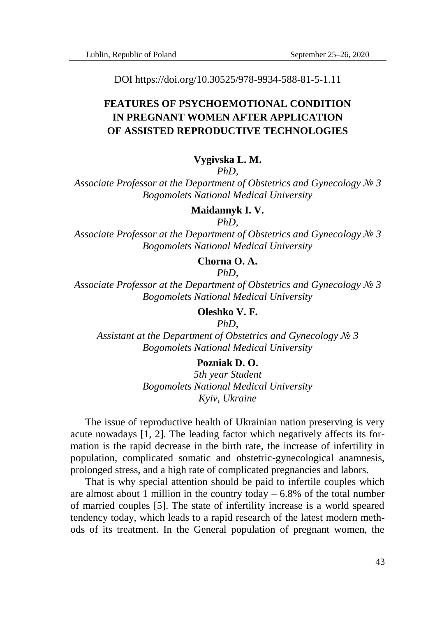DOI https://doi.org/10.30525/978-9934-588-81-5-1.11

# **FEATURES OF PSYCHOEMOTIONAL CONDITION IN PREGNANT WOMEN AFTER APPLICATION OF ASSISTED REPRODUCTIVE TECHNOLOGIES**

#### **Vygivska L. M.**

*PhD,*

*Associate Professor at the Department of Obstetrics and Gynecology № 3 Bogomolets National Medical University*

**Maidannyk I. V.**

*PhD,*

*Associate Professor at the Department of Obstetrics and Gynecology № 3 Bogomolets National Medical University*

## **Chorna O. A.**

*PhD,*

*Associate Professor at the Department of Obstetrics and Gynecology № 3 Bogomolets National Medical University*

**Oleshko V. F.**

*PhD, Assistant at the Department of Obstetrics and Gynecology № 3 Bogomolets National Medical University*

## **Pozniak D. O.**

*5th year Student Bogomolets National Medical University Kyiv, Ukraine*

The issue of reproductive health of Ukrainian nation preserving is very acute nowadays [1, 2]. The leading factor which negatively affects its formation is the rapid decrease in the birth rate, the increase of infertility in population, complicated somatic and obstetric-gynecological anamnesis, prolonged stress, and a high rate of complicated pregnancies and labors.

That is why special attention should be paid to infertile couples which are almost about 1 million in the country today  $-6.8\%$  of the total number of married couples [5]. The state of infertility increase is a world speared tendency today, which leads to a rapid research of the latest modern methods of its treatment. In the General population of pregnant women, the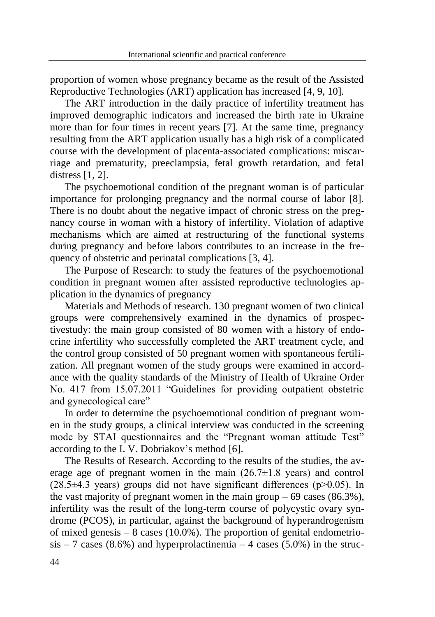proportion of women whose pregnancy became as the result of the Assisted Reproductive Technologies (ART) application has increased [4, 9, 10].

The ART introduction in the daily practice of infertility treatment has improved demographic indicators and increased the birth rate in Ukraine more than for four times in recent years [7]. At the same time, pregnancy resulting from the ART application usually has a high risk of a complicated course with the development of placenta-associated complications: miscarriage and prematurity, preeclampsia, fetal growth retardation, and fetal distress [1, 2].

The psychoemotional condition of the pregnant woman is of particular importance for prolonging pregnancy and the normal course of labor [8]. There is no doubt about the negative impact of chronic stress on the pregnancy course in woman with a history of infertility. Violation of adaptive mechanisms which are aimed at restructuring of the functional systems during pregnancy and before labors contributes to an increase in the frequency of obstetric and perinatal complications [3, 4].

The Purpose of Research: to study the features of the psychoemotional condition in pregnant women after assisted reproductive technologies application in the dynamics of pregnancy

Materials and Methods of research. 130 pregnant women of two clinical groups were comprehensively examined in the dynamics of prospectivestudy: the main group consisted of 80 women with a history of endocrine infertility who successfully completed the ART treatment cycle, and the control group consisted of 50 pregnant women with spontaneous fertilization. All pregnant women of the study groups were examined in accordance with the quality standards of the Ministry of Health of Ukraine Order No. 417 from 15.07.2011 "Guidelines for providing outpatient obstetric and gynecological care"

In order to determine the psychoemotional condition of pregnant women in the study groups, a clinical interview was conducted in the screening mode by STAI questionnaires and the "Pregnant woman attitude Test" according to the I. V. Dobriakov's method [6].

The Results of Research. According to the results of the studies, the average age of pregnant women in the main  $(26.7\pm1.8 \text{ years})$  and control  $(28.5\pm4.3 \text{ years})$  groups did not have significant differences (p $>0.05$ ). In the vast majority of pregnant women in the main group  $-69$  cases (86.3%), infertility was the result of the long-term course of polycystic ovary syndrome (PCOS), in particular, against the background of hyperandrogenism of mixed genesis  $-8$  cases (10.0%). The proportion of genital endometrio- $\sin$  – 7 cases (8.6%) and hyperprolactinemia – 4 cases (5.0%) in the struc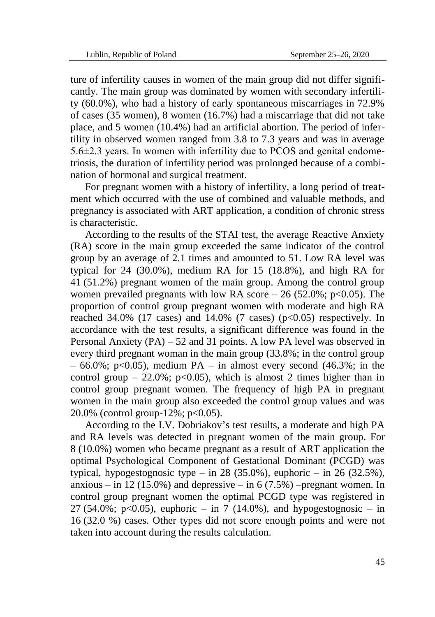ture of infertility causes in women of the main group did not differ significantly. The main group was dominated by women with secondary infertility (60.0%), who had a history of early spontaneous miscarriages in 72.9% of cases (35 women), 8 women (16.7%) had a miscarriage that did not take place, and 5 women (10.4%) had an artificial abortion. The period of infertility in observed women ranged from 3.8 to 7.3 years and was in average 5.6±2.3 years. In women with infertility due to PCOS and genital endometriosis, the duration of infertility period was prolonged because of a combination of hormonal and surgical treatment.

For pregnant women with a history of infertility, a long period of treatment which occurred with the use of combined and valuable methods, and pregnancy is associated with ART application, a condition of chronic stress is characteristic.

According to the results of the STAI test, the average Reactive Anxiety (RA) score in the main group exceeded the same indicator of the control group by an average of 2.1 times and amounted to 51. Low RA level was typical for 24 (30.0%), medium RA for 15 (18.8%), and high RA for 41 (51.2%) pregnant women of the main group. Among the control group women prevailed pregnants with low RA score  $-26$  (52.0%; p<0.05). The proportion of control group pregnant women with moderate and high RA reached  $34.0\%$  (17 cases) and  $14.0\%$  (7 cases) (p<0.05) respectively. In accordance with the test results, a significant difference was found in the Personal Anxiety (PA) – 52 and 31 points. A low PA level was observed in every third pregnant woman in the main group (33.8%; in the control group  $-66.0\%$ ; p<0.05), medium PA – in almost every second (46.3%; in the control group – 22.0%; p<0.05), which is almost 2 times higher than in control group pregnant women. The frequency of high PA in pregnant women in the main group also exceeded the control group values and was 20.0% (control group-12%; p<0.05).

According to the I.V. Dobriakov's test results, a moderate and high PA and RA levels was detected in pregnant women of the main group. For 8 (10.0%) women who became pregnant as a result of ART application the optimal Psychological Component of Gestational Dominant (PCGD) was typical, hypogestognosic type – in 28 (35.0%), euphoric – in 26 (32.5%), anxious – in 12 (15.0%) and depressive – in 6 (7.5%) –pregnant women. In control group pregnant women the optimal PCGD type was registered in 27 (54.0%; p<0.05), euphoric – in 7 (14.0%), and hypogestognosic – in 16 (32.0 %) cases. Other types did not score enough points and were not taken into account during the results calculation.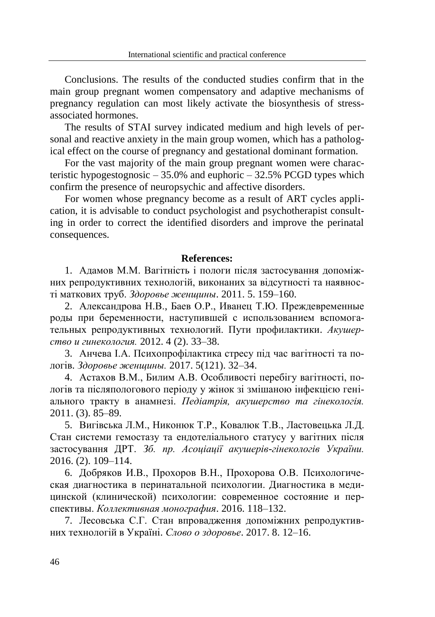Conclusions. The results of the conducted studies confirm that in the main group pregnant women compensatory and adaptive mechanisms of pregnancy regulation can most likely activate the biosynthesis of stressassociated hormones.

The results of STAI survey indicated medium and high levels of personal and reactive anxiety in the main group women, which has a pathological effect on the course of pregnancy and gestational dominant formation.

For the vast majority of the main group pregnant women were characteristic hypogestognosic  $-35.0\%$  and euphoric  $-32.5\%$  PCGD types which confirm the presence of neuropsychic and affective disorders.

For women whose pregnancy become as a result of ART cycles application, it is advisable to conduct psychologist and psychotherapist consulting in order to correct the identified disorders and improve the perinatal consequences.

#### **References:**

1. Адамов М.М. Вагітність і пологи після застосування допоміжних репродуктивних технологій, виконаних за відсутності та наявності маткових труб. *Здоровье женщины*. 2011. 5. 159–160.

2. Александрова Н.В., Баев О.Р., Иванец Т.Ю. Преждевременные роды при беременности, наступившей с использованием вспомогательных репродуктивных технологий. Пути профилактики. *Акушерство и гинекология.* 2012. 4 (2). 33–38.

3. Анчева І.А. Психопрофілактика стресу під час вагітності та пологів. *Здоровье женщины.* 2017. 5(121). 32–34.

4. Астахов В.М., Билим А.В. Особливості перебігу вагітності, пологів та післяпологового періоду у жінок зі змішаною інфекцією геніального тракту в анамнезі. *Педіатрія, акушерство та гінекологія.*  2011. (3). 85–89.

5. Вигівська Л.М., Никонюк Т.Р., Ковалюк Т.В., Ластовецька Л.Д. Стан системи гемостазу та ендотеліального статусу у вагітних після застосування ДРТ. *Зб. пр. Асоціації акушерів-гінекологів України.* 2016. (2). 109–114.

6. Добряков И.В., Прохоров В.Н., Прохорова О.В. Психологическая диагностика в перинатальной психологии. Диагностика в медицинской (клинической) психологии: современное состояние и перспективы. *Коллективная монография*. 2016. 118–132.

7. Лесовська С.Г. Стан впровадження допоміжних репродуктивних технологій в Україні. *Слово о здоровье*. 2017. 8. 12–16.